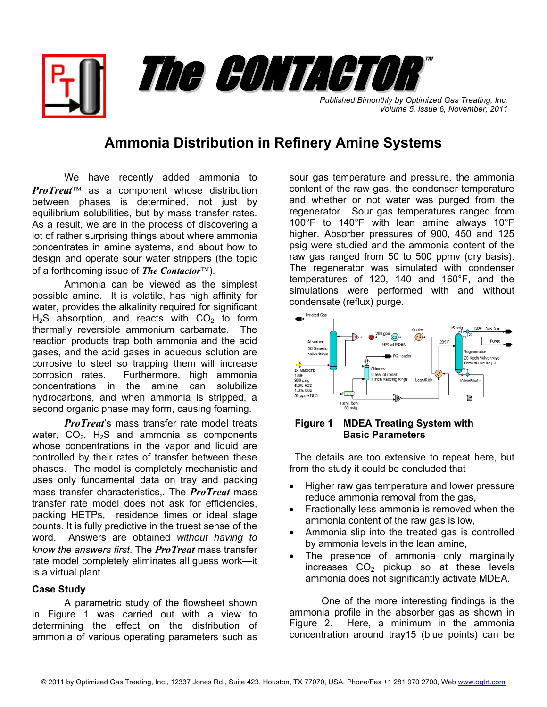*Published Bimonthly by Optimized Gas Treating, Inc. Volume 5, Issue 6, November, 2011*

™

# **Ammonia Distribution in Refinery Amine Systems**

The CONTACTOR

We have recently added ammonia to *ProTreat*™ as a component whose distribution between phases is determined, not just by equilibrium solubilities, but by mass transfer rates. As a result, we are in the process of discovering a lot of rather surprising things about where ammonia concentrates in amine systems, and about how to design and operate sour water strippers (the topic of a forthcoming issue of *The Contactor*™).

Ammonia can be viewed as the simplest possible amine. It is volatile, has high affinity for water, provides the alkalinity required for significant  $H_2S$  absorption, and reacts with  $CO<sub>2</sub>$  to form thermally reversible ammonium carbamate. The reaction products trap both ammonia and the acid gases, and the acid gases in aqueous solution are corrosive to steel so trapping them will increase corrosion rates. Furthermore, high ammonia concentrations in the amine can solubilize hydrocarbons, and when ammonia is stripped, a second organic phase may form, causing foaming.

*ProTreat*'s mass transfer rate model treats water,  $CO<sub>2</sub>$ , H<sub>2</sub>S and ammonia as components whose concentrations in the vapor and liquid are controlled by their rates of transfer between these phases. The model is completely mechanistic and uses only fundamental data on tray and packing mass transfer characteristics,. The *ProTreat* mass transfer rate model does not ask for efficiencies, packing HETPs, residence times or ideal stage counts. It is fully predictive in the truest sense of the word. Answers are obtained *without having to know the answers first*. The *ProTreat* mass transfer rate model completely eliminates all guess work—it is a virtual plant.

# **Case Study**

 A parametric study of the flowsheet shown in Figure 1 was carried out with a view to determining the effect on the distribution of ammonia of various operating parameters such as

sour gas temperature and pressure, the ammonia content of the raw gas, the condenser temperature and whether or not water was purged from the regenerator. Sour gas temperatures ranged from 100°F to 140°F with lean amine always 10°F higher. Absorber pressures of 900, 450 and 125 psig were studied and the ammonia content of the raw gas ranged from 50 to 500 ppmv (dry basis). The regenerator was simulated with condenser temperatures of 120, 140 and 160°F, and the simulations were performed with and without condensate (reflux) purge.



# **Figure 1 MDEA Treating System with Basic Parameters**

 The details are too extensive to repeat here, but from the study it could be concluded that

- Higher raw gas temperature and lower pressure reduce ammonia removal from the gas,
- Fractionally less ammonia is removed when the ammonia content of the raw gas is low,
- Ammonia slip into the treated gas is controlled by ammonia levels in the lean amine,
- The presence of ammonia only marginally increases  $CO<sub>2</sub>$  pickup so at these levels ammonia does not significantly activate MDEA.

One of the more interesting findings is the ammonia profile in the absorber gas as shown in Figure 2. Here, a minimum in the ammonia concentration around tray15 (blue points) can be